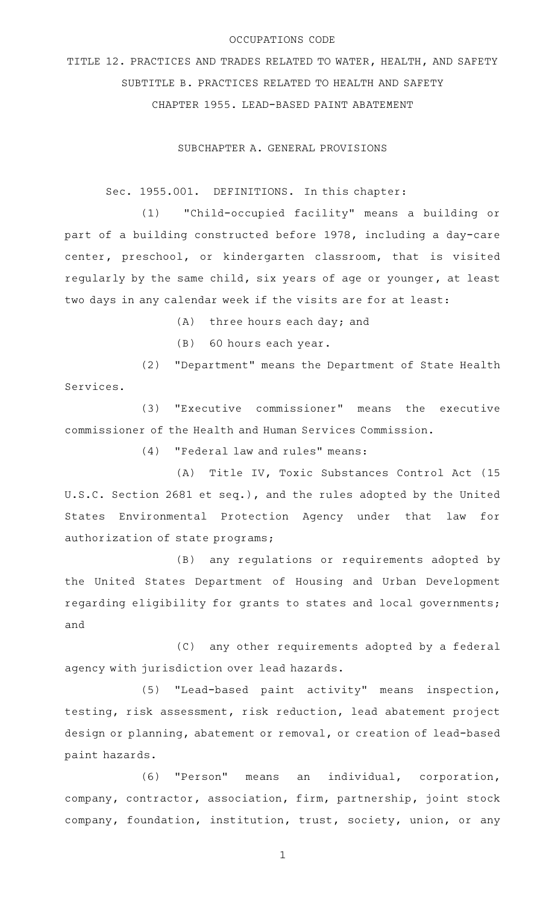## OCCUPATIONS CODE

TITLE 12. PRACTICES AND TRADES RELATED TO WATER, HEALTH, AND SAFETY SUBTITLE B. PRACTICES RELATED TO HEALTH AND SAFETY CHAPTER 1955. LEAD-BASED PAINT ABATEMENT

SUBCHAPTER A. GENERAL PROVISIONS

Sec. 1955.001. DEFINITIONS. In this chapter:

(1) "Child-occupied facility" means a building or part of a building constructed before 1978, including a day-care center, preschool, or kindergarten classroom, that is visited regularly by the same child, six years of age or younger, at least two days in any calendar week if the visits are for at least:

- $(A)$  three hours each day; and
- $(B)$  60 hours each year.

(2) "Department" means the Department of State Health Services.

(3) "Executive commissioner" means the executive commissioner of the Health and Human Services Commission.

(4) "Federal law and rules" means:

(A) Title IV, Toxic Substances Control Act (15 U.S.C. Section 2681 et seq.), and the rules adopted by the United States Environmental Protection Agency under that law for authorization of state programs;

(B) any regulations or requirements adopted by the United States Department of Housing and Urban Development regarding eligibility for grants to states and local governments; and

 $(C)$  any other requirements adopted by a federal agency with jurisdiction over lead hazards.

(5) "Lead-based paint activity" means inspection, testing, risk assessment, risk reduction, lead abatement project design or planning, abatement or removal, or creation of lead-based paint hazards.

(6) "Person" means an individual, corporation, company, contractor, association, firm, partnership, joint stock company, foundation, institution, trust, society, union, or any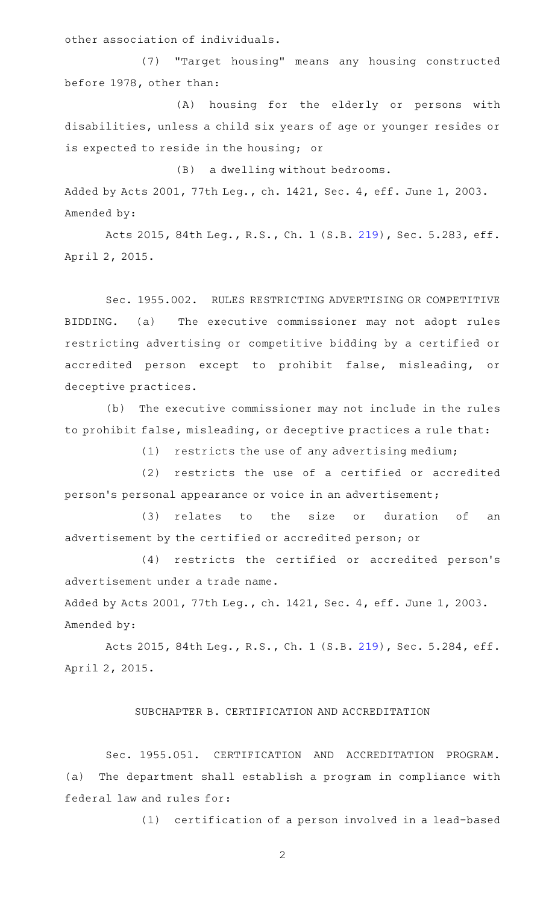other association of individuals.

(7) "Target housing" means any housing constructed before 1978, other than:

(A) housing for the elderly or persons with disabilities, unless a child six years of age or younger resides or is expected to reside in the housing; or

(B) a dwelling without bedrooms. Added by Acts 2001, 77th Leg., ch. 1421, Sec. 4, eff. June 1, 2003. Amended by:

Acts 2015, 84th Leg., R.S., Ch. 1 (S.B. [219](http://www.legis.state.tx.us/tlodocs/84R/billtext/html/SB00219F.HTM)), Sec. 5.283, eff. April 2, 2015.

Sec. 1955.002. RULES RESTRICTING ADVERTISING OR COMPETITIVE BIDDING. (a) The executive commissioner may not adopt rules restricting advertising or competitive bidding by a certified or accredited person except to prohibit false, misleading, or deceptive practices.

(b) The executive commissioner may not include in the rules to prohibit false, misleading, or deceptive practices a rule that:

 $(1)$  restricts the use of any advertising medium;

(2) restricts the use of a certified or accredited person 's personal appearance or voice in an advertisement;

(3) relates to the size or duration of an advertisement by the certified or accredited person; or

(4) restricts the certified or accredited person's advertisement under a trade name.

Added by Acts 2001, 77th Leg., ch. 1421, Sec. 4, eff. June 1, 2003. Amended by:

Acts 2015, 84th Leg., R.S., Ch. 1 (S.B. [219](http://www.legis.state.tx.us/tlodocs/84R/billtext/html/SB00219F.HTM)), Sec. 5.284, eff. April 2, 2015.

## SUBCHAPTER B. CERTIFICATION AND ACCREDITATION

Sec. 1955.051. CERTIFICATION AND ACCREDITATION PROGRAM. (a) The department shall establish a program in compliance with federal law and rules for:

(1) certification of a person involved in a lead-based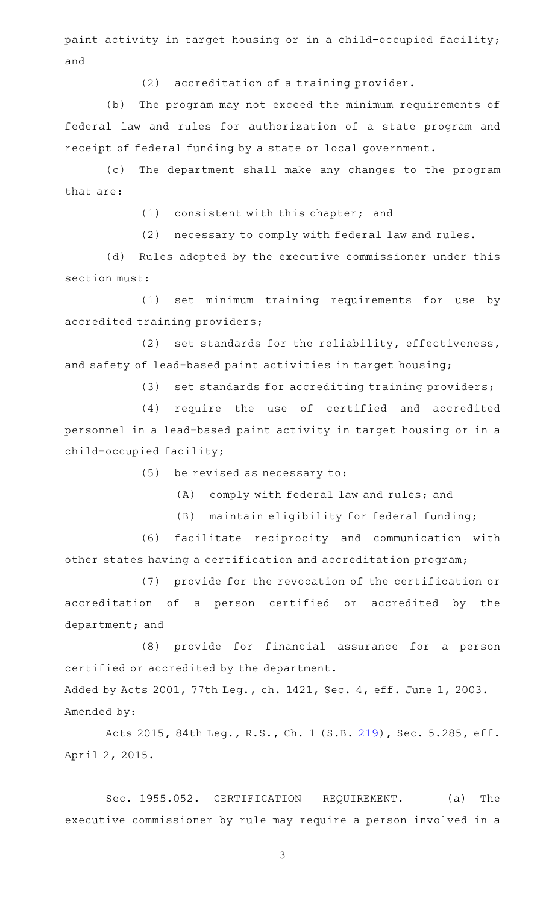paint activity in target housing or in a child-occupied facility; and

(2) accreditation of a training provider.

(b) The program may not exceed the minimum requirements of federal law and rules for authorization of a state program and receipt of federal funding by a state or local government.

(c) The department shall make any changes to the program that are:

 $(1)$  consistent with this chapter; and

(2) necessary to comply with federal law and rules.

(d) Rules adopted by the executive commissioner under this section must:

(1) set minimum training requirements for use by accredited training providers;

(2) set standards for the reliability, effectiveness, and safety of lead-based paint activities in target housing;

(3) set standards for accrediting training providers;

(4) require the use of certified and accredited personnel in a lead-based paint activity in target housing or in a child-occupied facility;

 $(5)$  be revised as necessary to:

(A) comply with federal law and rules; and

(B) maintain eligibility for federal funding;

(6) facilitate reciprocity and communication with other states having a certification and accreditation program;

(7) provide for the revocation of the certification or accreditation of a person certified or accredited by the department; and

(8) provide for financial assurance for a person certified or accredited by the department.

Added by Acts 2001, 77th Leg., ch. 1421, Sec. 4, eff. June 1, 2003. Amended by:

Acts 2015, 84th Leg., R.S., Ch. 1 (S.B. [219](http://www.legis.state.tx.us/tlodocs/84R/billtext/html/SB00219F.HTM)), Sec. 5.285, eff. April 2, 2015.

Sec. 1955.052. CERTIFICATION REQUIREMENT. (a) The executive commissioner by rule may require a person involved in a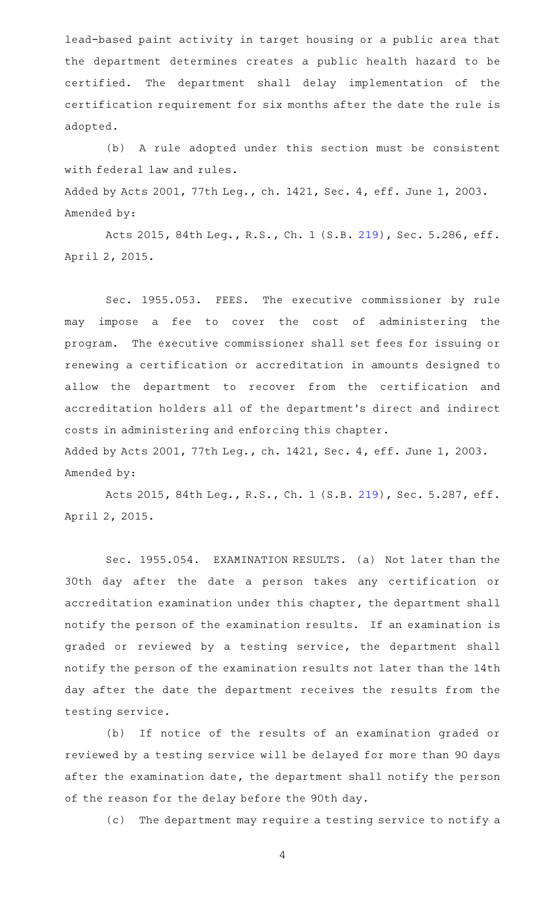lead-based paint activity in target housing or a public area that the department determines creates a public health hazard to be certified. The department shall delay implementation of the certification requirement for six months after the date the rule is adopted.

(b) A rule adopted under this section must be consistent with federal law and rules.

Added by Acts 2001, 77th Leg., ch. 1421, Sec. 4, eff. June 1, 2003. Amended by:

Acts 2015, 84th Leg., R.S., Ch. 1 (S.B. [219](http://www.legis.state.tx.us/tlodocs/84R/billtext/html/SB00219F.HTM)), Sec. 5.286, eff. April 2, 2015.

Sec. 1955.053. FEES. The executive commissioner by rule may impose a fee to cover the cost of administering the program. The executive commissioner shall set fees for issuing or renewing a certification or accreditation in amounts designed to allow the department to recover from the certification and accreditation holders all of the department 's direct and indirect costs in administering and enforcing this chapter. Added by Acts 2001, 77th Leg., ch. 1421, Sec. 4, eff. June 1, 2003.

Amended by:

Acts 2015, 84th Leg., R.S., Ch. 1 (S.B. [219](http://www.legis.state.tx.us/tlodocs/84R/billtext/html/SB00219F.HTM)), Sec. 5.287, eff. April 2, 2015.

Sec. 1955.054. EXAMINATION RESULTS. (a) Not later than the 30th day after the date a person takes any certification or accreditation examination under this chapter, the department shall notify the person of the examination results. If an examination is graded or reviewed by a testing service, the department shall notify the person of the examination results not later than the 14th day after the date the department receives the results from the testing service.

(b) If notice of the results of an examination graded or reviewed by a testing service will be delayed for more than 90 days after the examination date, the department shall notify the person of the reason for the delay before the 90th day.

(c) The department may require a testing service to notify a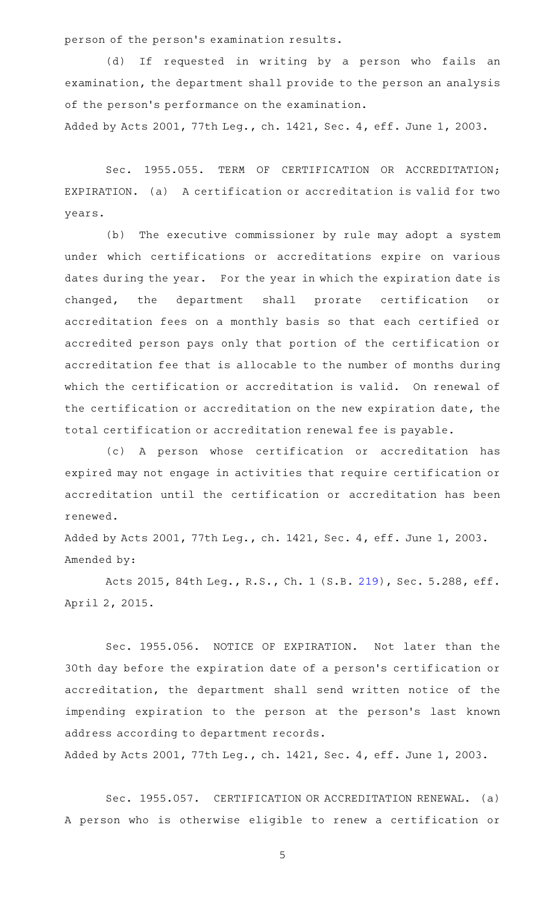person of the person 's examination results.

(d) If requested in writing by a person who fails an examination, the department shall provide to the person an analysis of the person 's performance on the examination.

Added by Acts 2001, 77th Leg., ch. 1421, Sec. 4, eff. June 1, 2003.

Sec. 1955.055. TERM OF CERTIFICATION OR ACCREDITATION; EXPIRATION. (a) A certification or accreditation is valid for two years.

(b) The executive commissioner by rule may adopt a system under which certifications or accreditations expire on various dates during the year. For the year in which the expiration date is changed, the department shall prorate certification or accreditation fees on a monthly basis so that each certified or accredited person pays only that portion of the certification or accreditation fee that is allocable to the number of months during which the certification or accreditation is valid. On renewal of the certification or accreditation on the new expiration date, the total certification or accreditation renewal fee is payable.

(c)AAA person whose certification or accreditation has expired may not engage in activities that require certification or accreditation until the certification or accreditation has been renewed.

Added by Acts 2001, 77th Leg., ch. 1421, Sec. 4, eff. June 1, 2003. Amended by:

Acts 2015, 84th Leg., R.S., Ch. 1 (S.B. [219](http://www.legis.state.tx.us/tlodocs/84R/billtext/html/SB00219F.HTM)), Sec. 5.288, eff. April 2, 2015.

Sec. 1955.056. NOTICE OF EXPIRATION. Not later than the 30th day before the expiration date of a person 's certification or accreditation, the department shall send written notice of the impending expiration to the person at the person's last known address according to department records.

Added by Acts 2001, 77th Leg., ch. 1421, Sec. 4, eff. June 1, 2003.

Sec. 1955.057. CERTIFICATION OR ACCREDITATION RENEWAL. (a) A person who is otherwise eligible to renew a certification or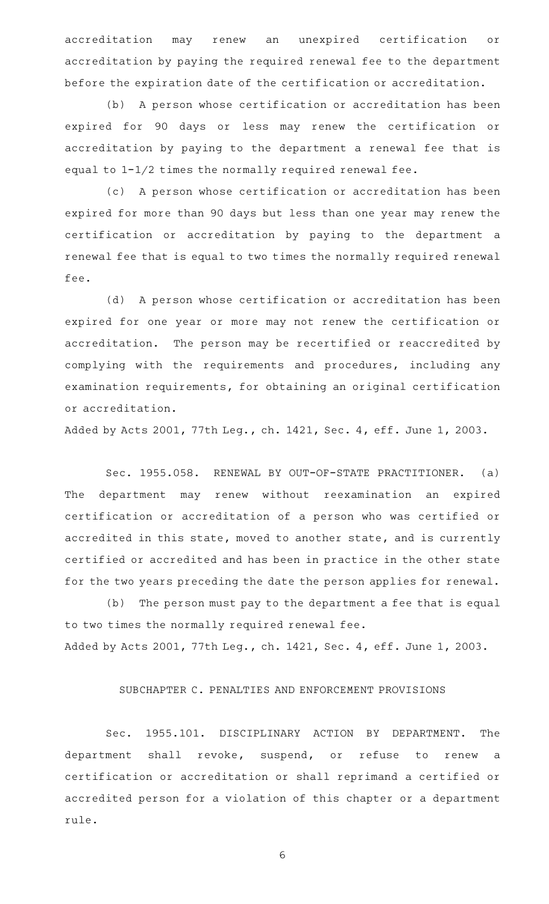accreditation may renew an unexpired certification or accreditation by paying the required renewal fee to the department before the expiration date of the certification or accreditation.

(b) A person whose certification or accreditation has been expired for 90 days or less may renew the certification or accreditation by paying to the department a renewal fee that is equal to 1-1/2 times the normally required renewal fee.

(c) A person whose certification or accreditation has been expired for more than 90 days but less than one year may renew the certification or accreditation by paying to the department a renewal fee that is equal to two times the normally required renewal fee.

(d) A person whose certification or accreditation has been expired for one year or more may not renew the certification or accreditation. The person may be recertified or reaccredited by complying with the requirements and procedures, including any examination requirements, for obtaining an original certification or accreditation.

Added by Acts 2001, 77th Leg., ch. 1421, Sec. 4, eff. June 1, 2003.

Sec. 1955.058. RENEWAL BY OUT-OF-STATE PRACTITIONER. (a) The department may renew without reexamination an expired certification or accreditation of a person who was certified or accredited in this state, moved to another state, and is currently certified or accredited and has been in practice in the other state for the two years preceding the date the person applies for renewal.

(b) The person must pay to the department a fee that is equal to two times the normally required renewal fee. Added by Acts 2001, 77th Leg., ch. 1421, Sec. 4, eff. June 1, 2003.

## SUBCHAPTER C. PENALTIES AND ENFORCEMENT PROVISIONS

Sec. 1955.101. DISCIPLINARY ACTION BY DEPARTMENT. The department shall revoke, suspend, or refuse to renew a certification or accreditation or shall reprimand a certified or accredited person for a violation of this chapter or a department rule.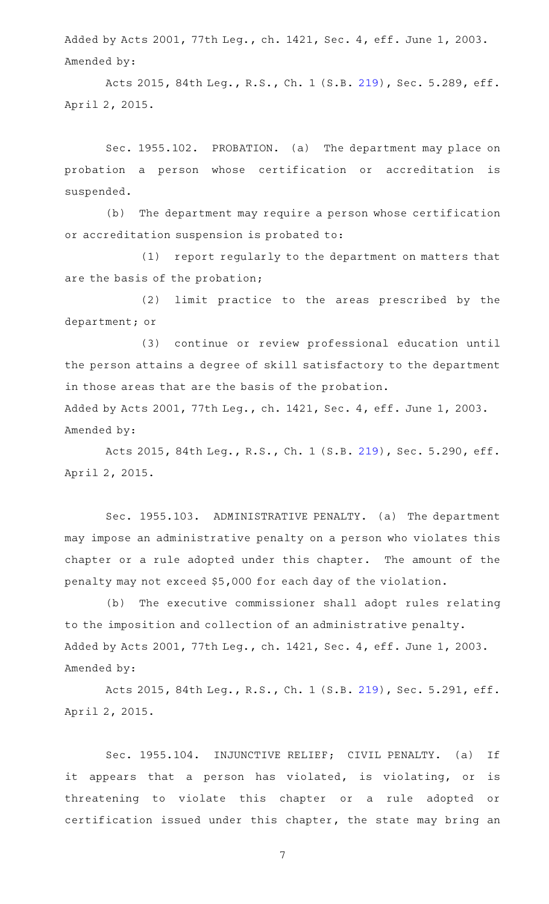Added by Acts 2001, 77th Leg., ch. 1421, Sec. 4, eff. June 1, 2003. Amended by:

Acts 2015, 84th Leg., R.S., Ch. 1 (S.B. [219](http://www.legis.state.tx.us/tlodocs/84R/billtext/html/SB00219F.HTM)), Sec. 5.289, eff. April 2, 2015.

Sec. 1955.102. PROBATION. (a) The department may place on probation a person whose certification or accreditation is suspended.

(b) The department may require a person whose certification or accreditation suspension is probated to:

(1) report regularly to the department on matters that are the basis of the probation;

(2) limit practice to the areas prescribed by the department; or

(3) continue or review professional education until the person attains a degree of skill satisfactory to the department in those areas that are the basis of the probation.

Added by Acts 2001, 77th Leg., ch. 1421, Sec. 4, eff. June 1, 2003. Amended by:

Acts 2015, 84th Leg., R.S., Ch. 1 (S.B. [219](http://www.legis.state.tx.us/tlodocs/84R/billtext/html/SB00219F.HTM)), Sec. 5.290, eff. April 2, 2015.

Sec. 1955.103. ADMINISTRATIVE PENALTY. (a) The department may impose an administrative penalty on a person who violates this chapter or a rule adopted under this chapter. The amount of the penalty may not exceed \$5,000 for each day of the violation.

(b) The executive commissioner shall adopt rules relating to the imposition and collection of an administrative penalty. Added by Acts 2001, 77th Leg., ch. 1421, Sec. 4, eff. June 1, 2003. Amended by:

Acts 2015, 84th Leg., R.S., Ch. 1 (S.B. [219](http://www.legis.state.tx.us/tlodocs/84R/billtext/html/SB00219F.HTM)), Sec. 5.291, eff. April 2, 2015.

Sec. 1955.104. INJUNCTIVE RELIEF; CIVIL PENALTY. (a) If it appears that a person has violated, is violating, or is threatening to violate this chapter or a rule adopted or certification issued under this chapter, the state may bring an